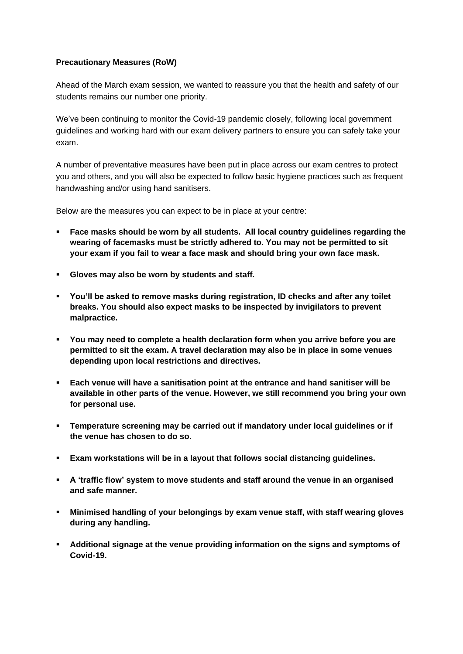## **Precautionary Measures (RoW)**

Ahead of the March exam session, we wanted to reassure you that the health and safety of our students remains our number one priority.

We've been continuing to monitor the Covid-19 pandemic closely, following local government guidelines and working hard with our exam delivery partners to ensure you can safely take your exam.

A number of preventative measures have been put in place across our exam centres to protect you and others, and you will also be expected to follow basic hygiene practices such as frequent handwashing and/or using hand sanitisers.

Below are the measures you can expect to be in place at your centre:

- **Face masks should be worn by all students. All local country guidelines regarding the wearing of facemasks must be strictly adhered to. You may not be permitted to sit your exam if you fail to wear a face mask and should bring your own face mask.**
- **Gloves may also be worn by students and staff.**
- **You'll be asked to remove masks during registration, ID checks and after any toilet breaks. You should also expect masks to be inspected by invigilators to prevent malpractice.**
- **You may need to complete a health declaration form when you arrive before you are permitted to sit the exam. A travel declaration may also be in place in some venues depending upon local restrictions and directives.**
- **Each venue will have a sanitisation point at the entrance and hand sanitiser will be available in other parts of the venue. However, we still recommend you bring your own for personal use.**
- **Temperature screening may be carried out if mandatory under local guidelines or if the venue has chosen to do so.**
- **Exam workstations will be in a layout that follows social distancing guidelines.**
- **A 'traffic flow' system to move students and staff around the venue in an organised and safe manner.**
- **Minimised handling of your belongings by exam venue staff, with staff wearing gloves during any handling.**
- **Additional signage at the venue providing information on the signs and symptoms of Covid-19.**